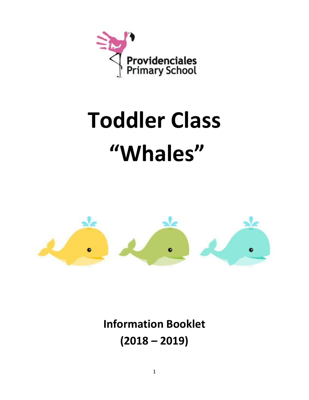

# **Toddler Class "Whales"**



**Information Booklet (2018 – 2019)**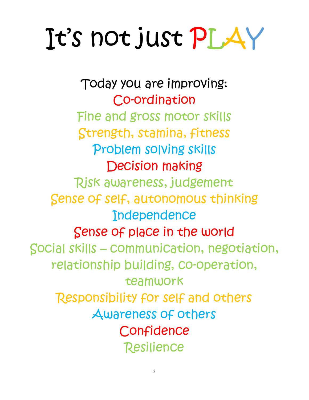# It's not just PLAY

Today you are improving: Co-ordination Fine and gross motor skills Strength, stamina, fitness Problem solving skills Decision making Risk awareness, judgement Sense of self, autonomous thinking **Independence** Sense of place in the world Social skills – communication, negotiation, relationship building, co-operation, teamwork Responsibility for self and others Awareness of others **Confidence** Resilience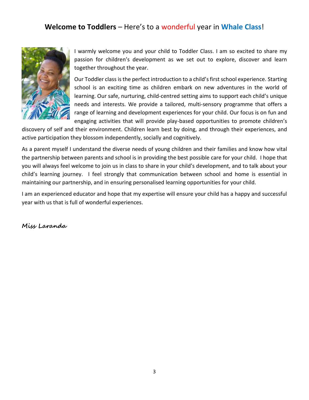# **Welcome to Toddlers** – Here's to a wonderful year in **Whale Class**!



I warmly welcome you and your child to Toddler Class. I am so excited to share my passion for children's development as we set out to explore, discover and learn together throughout the year.

Our Toddler class is the perfect introduction to a child's first school experience. Starting school is an exciting time as children embark on new adventures in the world of learning. Our safe, nurturing, child-centred setting aims to support each child's unique needs and interests. We provide a tailored, multi-sensory programme that offers a range of learning and development experiences for your child. Our focus is on fun and engaging activities that will provide play-based opportunities to promote children's

discovery of self and their environment. Children learn best by doing, and through their experiences, and active participation they blossom independently, socially and cognitively.

As a parent myself I understand the diverse needs of young children and their families and know how vital the partnership between parents and school is in providing the best possible care for your child. I hope that you will always feel welcome to join us in class to share in your child's development, and to talk about your child's learning journey. I feel strongly that communication between school and home is essential in maintaining our partnership, and in ensuring personalised learning opportunities for your child.

I am an experienced educator and hope that my expertise will ensure your child has a happy and successful year with us that is full of wonderful experiences.

**Miss Laranda**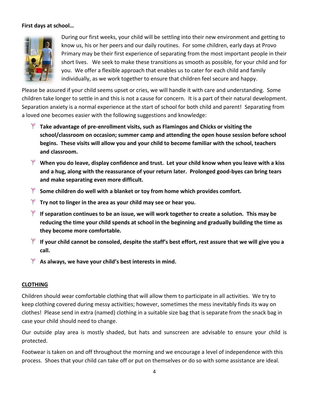### **First days at school…**



During our first weeks, your child will be settling into their new environment and getting to know us, his or her peers and our daily routines. For some children, early days at Provo Primary may be their first experience of separating from the most important people in their short lives. We seek to make these transitions as smooth as possible, for your child and for you. We offer a flexible approach that enables us to cater for each child and family individually, as we work together to ensure that children feel secure and happy.

Please be assured if your child seems upset or cries, we will handle it with care and understanding. Some children take longer to settle in and this is not a cause for concern. It is a part of their natural development. Separation anxiety is a normal experience at the start of school for both child and parent! Separating from a loved one becomes easier with the following suggestions and knowledge:

- **Take advantage of pre-enrollment visits, such as Flamingos and Chicks or visiting the school/classroom on occasion; summer camp and attending the open house session before school begins. These visits will allow you and your child to become familiar with the school, teachers and classroom.**
- **When you do leave, display confidence and trust. Let your child know when you leave with a kiss and a hug, along with the reassurance of your return later. Prolonged good-byes can bring tears and make separating even more difficult.**
- **Some children do well with a blanket or toy from home which provides comfort.**
- **Try not to linger in the area as your child may see or hear you.**
- **If separation continues to be an issue, we will work together to create a solution. This may be reducing the time your child spends at school in the beginning and gradually building the time as they become more comfortable.**
- **If your child cannot be consoled, despite the staff's best effort, rest assure that we will give you a call.**
- **As always, we have your child's best interests in mind.**

# **CLOTHING**

Children should wear comfortable clothing that will allow them to participate in all activities. We try to keep clothing covered during messy activities; however, sometimes the mess inevitably finds its way on clothes! Please send in extra (named) clothing in a suitable size bag that is separate from the snack bag in case your child should need to change.

Our outside play area is mostly shaded, but hats and sunscreen are advisable to ensure your child is protected.

Footwear is taken on and off throughout the morning and we encourage a level of independence with this process. Shoes that your child can take off or put on themselves or do so with some assistance are ideal.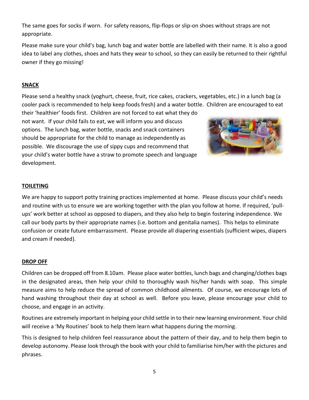The same goes for socks if worn. For safety reasons, flip-flops or slip-on shoes without straps are not appropriate.

Please make sure your child's bag, lunch bag and water bottle are labelled with their name. It is also a good idea to label any clothes, shoes and hats they wear to school, so they can easily be returned to their rightful owner if they go missing!

# **SNACK**

Please send a healthy snack (yoghurt, cheese, fruit, rice cakes, crackers, vegetables, etc.) in a lunch bag (a cooler pack is recommended to help keep foods fresh) and a water bottle. Children are encouraged to eat

their 'healthier' foods first. Children are not forced to eat what they do not want. If your child fails to eat, we will inform you and discuss options. The lunch bag, water bottle, snacks and snack containers should be appropriate for the child to manage as independently as possible. We discourage the use of sippy cups and recommend that your child's water bottle have a straw to promote speech and language development.



# **TOILETING**

We are happy to support potty training practices implemented at home. Please discuss your child's needs and routine with us to ensure we are working together with the plan you follow at home. If required, 'pullups' work better at school as opposed to diapers, and they also help to begin fostering independence. We call our body parts by their appropriate names (i.e. bottom and genitalia names). This helps to eliminate confusion or create future embarrassment. Please provide all diapering essentials (sufficient wipes, diapers and cream if needed).

# **DROP OFF**

Children can be dropped off from 8.10am. Please place water bottles, lunch bags and changing/clothes bags in the designated areas, then help your child to thoroughly wash his/her hands with soap. This simple measure aims to help reduce the spread of common childhood ailments. Of course, we encourage lots of hand washing throughout their day at school as well. Before you leave, please encourage your child to choose, and engage in an activity.

Routines are extremely important in helping your child settle in to their new learning environment. Your child will receive a 'My Routines' book to help them learn what happens during the morning.

This is designed to help children feel reassurance about the pattern of their day, and to help them begin to develop autonomy. Please look through the book with your child to familiarise him/her with the pictures and phrases.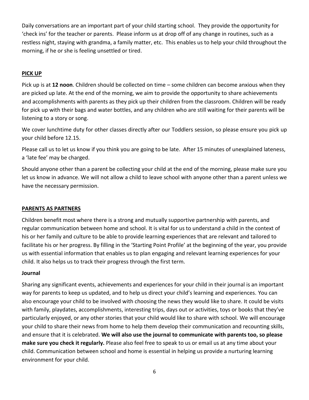Daily conversations are an important part of your child starting school. They provide the opportunity for 'check ins' for the teacher or parents. Please inform us at drop off of any change in routines, such as a restless night, staying with grandma, a family matter, etc. This enables us to help your child throughout the morning, if he or she is feeling unsettled or tired.

# **PICK UP**

Pick up is at **12 noon**. Children should be collected on time – some children can become anxious when they are picked up late. At the end of the morning, we aim to provide the opportunity to share achievements and accomplishments with parents as they pick up their children from the classroom. Children will be ready for pick up with their bags and water bottles, and any children who are still waiting for their parents will be listening to a story or song.

We cover lunchtime duty for other classes directly after our Toddlers session, so please ensure you pick up your child before 12.15.

Please call us to let us know if you think you are going to be late. After 15 minutes of unexplained lateness, a 'late fee' may be charged.

Should anyone other than a parent be collecting your child at the end of the morning, please make sure you let us know in advance. We will not allow a child to leave school with anyone other than a parent unless we have the necessary permission.

# **PARENTS AS PARTNERS**

Children benefit most where there is a strong and mutually supportive partnership with parents, and regular communication between home and school. It is vital for us to understand a child in the context of his or her family and culture to be able to provide learning experiences that are relevant and tailored to facilitate his or her progress. By filling in the 'Starting Point Profile' at the beginning of the year, you provide us with essential information that enables us to plan engaging and relevant learning experiences for your child. It also helps us to track their progress through the first term.

### **Journal**

Sharing any significant events, achievements and experiences for your child in their journal is an important way for parents to keep us updated, and to help us direct your child's learning and experiences. You can also encourage your child to be involved with choosing the news they would like to share. It could be visits with family, playdates, accomplishments, interesting trips, days out or activities, toys or books that they've particularly enjoyed, or any other stories that your child would like to share with school. We will encourage your child to share their news from home to help them develop their communication and recounting skills, and ensure that it is celebrated. **We will also use the journal to communicate with parents too, so please make sure you check it regularly.** Please also feel free to speak to us or email us at any time about your child. Communication between school and home is essential in helping us provide a nurturing learning environment for your child.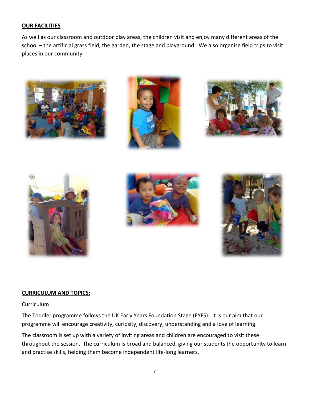### **OUR FACILITIES**

As well as our classroom and outdoor play areas, the children visit and enjoy many different areas of the school – the artificial grass field, the garden, the stage and playground. We also organise field trips to visit places in our community.













### **CURRICULUM AND TOPICS:**

### Curriculum

The Toddler programme follows the UK Early Years Foundation Stage (EYFS). It is our aim that our programme will encourage creativity, curiosity, discovery, understanding and a love of learning.

The classroom is set up with a variety of inviting areas and children are encouraged to visit these throughout the session. The curriculum is broad and balanced, giving our students the opportunity to learn and practise skills, helping them become independent life-long learners.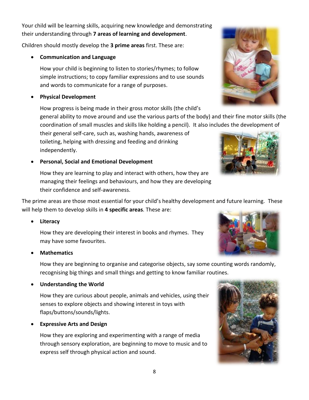Your child will be learning skills, acquiring new knowledge and demonstrating their understanding through **7 areas of learning and development**.

Children should mostly develop the **3 prime areas** first. These are:

• **Communication and Language** 

How your child is beginning to listen to stories/rhymes; to follow simple instructions; to copy familiar expressions and to use sounds and words to communicate for a range of purposes.

• **Physical Development** 

How progress is being made in their gross motor skills (the child's general ability to move around and use the various parts of the body) and their fine motor skills (the coordination of small muscles and skills like holding a pencil). It also includes the development of

their general self-care, such as, washing hands, awareness of toileting, helping with dressing and feeding and drinking independently.

• **Personal, Social and Emotional Development**

How they are learning to play and interact with others, how they are managing their feelings and behaviours, and how they are developing their confidence and self-awareness.

The prime areas are those most essential for your child's healthy development and future learning. These will help them to develop skills in **4 specific areas**. These are:

• **Literacy**

How they are developing their interest in books and rhymes. They may have some favourites.

• **Mathematics**

How they are beginning to organise and categorise objects, say some counting words randomly, recognising big things and small things and getting to know familiar routines.

• **Understanding the World**

How they are curious about people, animals and vehicles, using their senses to explore objects and showing interest in toys with flaps/buttons/sounds/lights.

• **Expressive Arts and Design**

How they are exploring and experimenting with a range of media through sensory exploration, are beginning to move to music and to express self through physical action and sound.







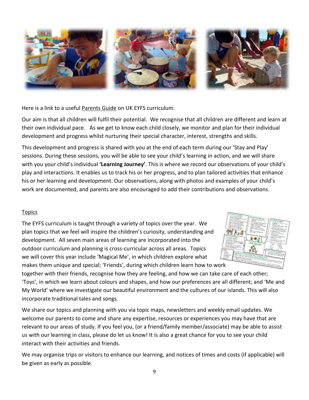

Here is a link to a useful [Parents Guide](http://www.foundationyears.org.uk/files/2015/04/4Children_ParentsGuide_2015_FINAL_WEBv2.pdf) on UK EYFS curriculum.

Our aim is that all children will fulfil their potential. We recognise that all children are different and learn at their own individual pace. As we get to know each child closely, we monitor and plan for their individual development and progress whilst nurturing their special character, interest, strengths and skills.

This development and progress is shared with you at the end of each term during our 'Stay and Play' sessions. During these sessions, you will be able to see your child's learning in action, and we will share with you your child's individual **'Learning Journey'**. This is where we record our observations of your child's play and interactions. It enables us to track his or her progress, and to plan tailored activities that enhance his or her learning and development. Our observations, along with photos and examples of your child's work are documented, and parents are also encouraged to add their contributions and observations.

# Topics

The EYFS curriculum is taught through a variety of topics over the year. We plan topics that we feel will inspire the children's curiosity, understanding and development. All seven main areas of learning are incorporated into the outdoor curriculum and planning is cross-curricular across all areas. Topics we will cover this year include 'Magical Me', in which children explore what makes them unique and special; 'Friends', during which children learn how to work



together with their friends, recognise how they are feeling, and how we can take care of each other; 'Toys', in which we learn about colours and shapes, and how our preferences are all different; and 'Me and My World' where we investigate our beautiful environment and the cultures of our islands. This will also incorporate traditional tales and songs.

We share our topics and planning with you via topic maps, newsletters and weekly email updates. We welcome our parents to come and share any expertise, resources or experiences you may have that are relevant to our areas of study. If you feel you, (or a friend/family member/associate) may be able to assist us with our learning in class, please do let us know! It is also a great chance for you to see your child interact with their activities and friends.

We may organise trips or visitors to enhance our learning, and notices of times and costs (if applicable) will be given as early as possible.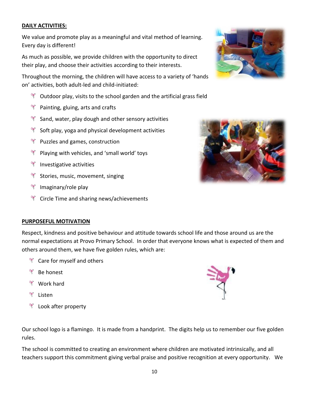### **DAILY ACTIVITIES:**

We value and promote play as a meaningful and vital method of learning. Every day is different!

As much as possible, we provide children with the opportunity to direct their play, and choose their activities according to their interests.

Throughout the morning, the children will have access to a variety of 'hands on' activities, both adult-led and child-initiated:

- $\mathbb{R}$  Outdoor play, visits to the school garden and the artificial grass field
- **Painting, gluing, arts and crafts**
- $\mathbb{R}^n$  Sand, water, play dough and other sensory activities
- $\mathbb{R}^n$  Soft play, yoga and physical development activities
- $\mathbb{R}$  Puzzles and games, construction
- $\mathbb{R}^n$  Playing with vehicles, and 'small world' toys
- $\mathbb{I}$  Investigative activities
- **T** Stories, music, movement, singing
- **T** Imaginary/role play
- **T** Circle Time and sharing news/achievements





### **PURPOSEFUL MOTIVATION**

Respect, kindness and positive behaviour and attitude towards school life and those around us are the normal expectations at Provo Primary School. In order that everyone knows what is expected of them and others around them, we have five golden rules, which are:

- **T** Care for myself and others
- <sup>₩</sup> Be honest
- <sup>।</sup> Work hard
- $\equiv$ Listen
- $\mathbb{Z}$ Look after property

Our school logo is a flamingo. It is made from a handprint. The digits help us to remember our five golden rules.

The school is committed to creating an environment where children are motivated intrinsically, and all teachers support this commitment giving verbal praise and positive recognition at every opportunity. We

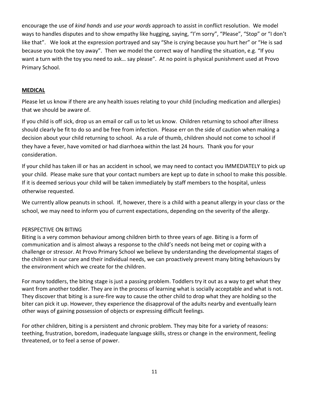encourage the use of *kind hands* and *use your words* approach to assist in conflict resolution. We model ways to handles disputes and to show empathy like hugging, saying, "I'm sorry", "Please", "Stop" or "I don't like that". We look at the expression portrayed and say "She is crying because you hurt her" or "He is sad because you took the toy away". Then we model the correct way of handling the situation, e.g. "If you want a turn with the toy you need to ask… say please". At no point is physical punishment used at Provo Primary School.

### **MEDICAL**

Please let us know if there are any health issues relating to your child (including medication and allergies) that we should be aware of.

If you child is off sick, drop us an email or call us to let us know. Children returning to school after illness should clearly be fit to do so and be free from infection. Please err on the side of caution when making a decision about your child returning to school. As a rule of thumb, children should not come to school if they have a fever, have vomited or had diarrhoea within the last 24 hours. Thank you for your consideration.

If your child has taken ill or has an accident in school, we may need to contact you IMMEDIATELY to pick up your child. Please make sure that your contact numbers are kept up to date in school to make this possible. If it is deemed serious your child will be taken immediately by staff members to the hospital, unless otherwise requested.

We currently allow peanuts in school. If, however, there is a child with a peanut allergy in your class or the school, we may need to inform you of current expectations, depending on the severity of the allergy.

# PERSPECTIVE ON BITING

Biting is a very common behaviour among children birth to three years of age. Biting is a form of communication and is almost always a response to the child's needs not being met or coping with a challenge or stressor. At Provo Primary School we believe by understanding the developmental stages of the children in our care and their individual needs, we can proactively prevent many biting behaviours by the environment which we create for the children.

For many toddlers, the biting stage is just a passing problem. Toddlers try it out as a way to get what they want from another toddler. They are in the process of learning what is socially acceptable and what is not. They discover that biting is a sure-fire way to cause the other child to drop what they are holding so the biter can pick it up. However, they experience the disapproval of the adults nearby and eventually learn other ways of gaining possession of objects or expressing difficult feelings.

For other children, biting is a persistent and chronic problem. They may bite for a variety of reasons: teething, frustration, boredom, inadequate language skills, stress or change in the environment, feeling threatened, or to feel a sense of power.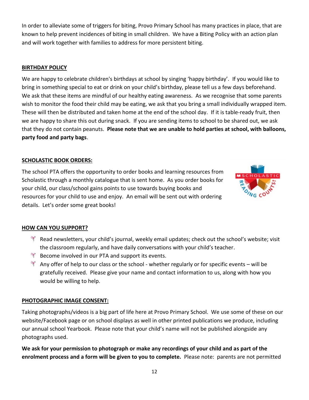In order to alleviate some of triggers for biting, Provo Primary School has many practices in place, that are known to help prevent incidences of biting in small children. We have a Biting Policy with an action plan and will work together with families to address for more persistent biting.

# **BIRTHDAY POLICY**

We are happy to celebrate children's birthdays at school by singing 'happy birthday'. If you would like to bring in something special to eat or drink on your child's birthday, please tell us a few days beforehand. We ask that these items are mindful of our healthy eating awareness. As we recognise that some parents wish to monitor the food their child may be eating, we ask that you bring a small individually wrapped item. These will then be distributed and taken home at the end of the school day. If it is table-ready fruit, then we are happy to share this out during snack. If you are sending items to school to be shared out, we ask that they do not contain peanuts. **Please note that we are unable to hold parties at school, with balloons, party food and party bags**.

# **SCHOLASTIC BOOK ORDERS:**

The school PTA offers the opportunity to order books and learning resources from Scholastic through a monthly catalogue that is sent home. As you order books for your child, our class/school gains points to use towards buying books and resources for your child to use and enjoy. An email will be sent out with ordering details. Let's order some great books!



# **HOW CAN YOU SUPPORT?**

- Read newsletters, your child's journal, weekly email updates; check out the school's website; visit the classroom regularly, and have daily conversations with your child's teacher.
- $\mathbb{R}^n$  Become involved in our PTA and support its events.
- Any offer of help to our class or the school whether regularly or for specific events will be gratefully received. Please give your name and contact information to us, along with how you would be willing to help.

### **PHOTOGRAPHIC IMAGE CONSENT:**

Taking photographs/videos is a big part of life here at Provo Primary School. We use some of these on our website/Facebook page or on school displays as well in other printed publications we produce, including our annual school Yearbook. Please note that your child's name will not be published alongside any photographs used.

**We ask for your permission to photograph or make any recordings of your child and as part of the enrolment process and a form will be given to you to complete.** Please note: parents are not permitted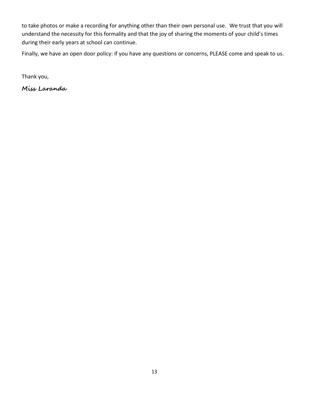to take photos or make a recording for anything other than their own personal use. We trust that you will understand the necessity for this formality and that the joy of sharing the moments of your child's times during their early years at school can continue.

Finally, we have an open door policy: if you have any questions or concerns, PLEASE come and speak to us.

Thank you,

**Miss Laranda**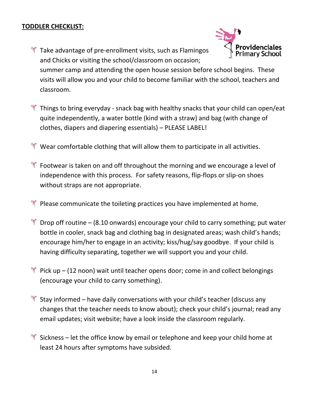# **TODDLER CHECKLIST:**

 $\mathbb{R}$  Take advantage of pre-enrollment visits, such as Flamingos and Chicks or visiting the school/classroom on occasion;



summer camp and attending the open house session before school begins. These visits will allow you and your child to become familiar with the school, teachers and classroom.

- $\mathbb{R}$  Things to bring everyday snack bag with healthy snacks that your child can open/eat quite independently, a water bottle (kind with a straw) and bag (with change of clothes, diapers and diapering essentials) – PLEASE LABEL!
- $\mathbb{R}^n$  Wear comfortable clothing that will allow them to participate in all activities.
- $\mathbb{R}^n$  Footwear is taken on and off throughout the morning and we encourage a level of independence with this process. For safety reasons, flip-flops or slip-on shoes without straps are not appropriate.
- $\mathbb{R}^n$  Please communicate the toileting practices you have implemented at home.
- $\mathbb K$  Drop off routine (8.10 onwards) encourage your child to carry something; put water bottle in cooler, snack bag and clothing bag in designated areas; wash child's hands; encourage him/her to engage in an activity; kiss/hug/say goodbye. If your child is having difficulty separating, together we will support you and your child.
- $\mathbb{R}^n$  Pick up (12 noon) wait until teacher opens door; come in and collect belongings (encourage your child to carry something).
- $\mathbb{R}^n$  Stay informed have daily conversations with your child's teacher (discuss any changes that the teacher needs to know about); check your child's journal; read any email updates; visit website; have a look inside the classroom regularly.
- $\mathbb{R}^n$  Sickness let the office know by email or telephone and keep your child home at least 24 hours after symptoms have subsided.